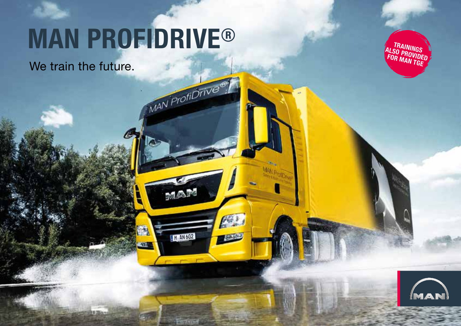# **MAN PROFIDRIVE ®**

MAN ProfiDrive®

MAR

**M** AN 602

**Regination** 

PY .

i ti zili

fer i

We train the future.

**TRAININGS<br>ALSO PROVIDED<br>FOR MAN TGE** 

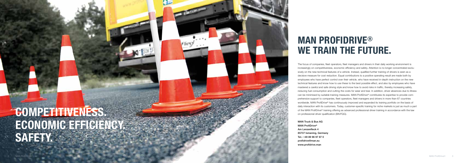

### **MAN PROFIDRIVE ® WE TRAIN THE FUTURE.**

The focus of companies, fleet operators, fleet managers and drivers in their daily working environment is increasingly on competitiveness, economic efficiency and safety. Attention is no longer concentrated exclu sively on the new technical features of a vehicle. Instead, qualified further training of drivers is seen as a decisive measure for cost reduction. Equal contributions to a positive operating result are made both by employees who have perfect control over their vehicle, who have received in-depth instruction on the new technical features and know how to use these to the best possible effect, and also by employees who have mastered a careful and safe driving style and know how to avoid risks in traffic, thereby increasing safety, reducing fuel consumption and cutting the costs for wear and tear. In addition, driver absences due to illness can be minimised by suitable training measures. MAN ProfiDrive ® contributes its expertise to provide com prehensive support to companies, fleet operators, fleet managers and drivers in more than 67 countries worldwide. MAN ProfiDrive ® has continuously improved and expanded its training portfolio on the basis of daily interaction with its customers. Today, customer-specific training for niche markets is just as much a part of the MAN ProfiDrive® training offering as advanced professional driver training in accordance with the law on professional driver qualification (BKrFQG).

# **COMPETITIVENESS. ECONOMIC EFFICIENCY. SAFETY.**

MAN Truck & Bus AG MAN ProfiDrive ® Am Lenzenfleck 4 85737 Ismaning, Germany Tel.: +49 89 96 97 87 0 profidrive@man.eu www.profidrive.man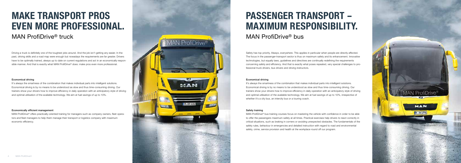# **MAKE TRANSPORT PROS EVEN MORE PROFESSIONAL.**



# **PASSENGER TRANSPORT – MAXIMUM RESPONSIBILITY.**

#### Economical driving

Driving a truck is definitely one of the toughest jobs around. And the job isn't getting any easier. In the past, driving skills and a road map were enough but nowadays the requirements are far greater. Drivers have to be optimally trained, always up to date on current regulations and act in an economically responsible manner. And that is exactly what MAN ProfiDrive® does: make pros even more professional.

It's always the smartness of the combination that makes individual parts into intelligent solutions. Economical driving is by no means to be understood as slow and thus time-consuming driving. Our trainers show your drivers how to improve efficiency in daily operation with an anticipatory style of driving and optimal utilisation of the available technology. We aim at fuel savings of up to 10%.

#### Safety training

Safety has top priority. Always, everywhere. This applies in particular when people are directly affected. The focus in the passenger-transport sector is thus on maximum safety and its enhancement. Innovative technologies, but equally laws, guidelines and directives are continually redefining the requirements concerning safety and efficiency. And that is exactly what poses repeated, very special challenges to professional truck drivers, bus drivers and driving instructors.

MAN ProfiDrive® bus training courses focus on mastering the vehicle with confidence in order to be able to offer the passengers maximum safety at all times. Practical exercises help drivers to react correctly in critical situations, such as braking in corners or avoiding unexpected obstacles. The fundamentals of the safety rules, behaviour in emergencies and detailed instruction with regard to road and environmental safety, crime, service provision and health at the workplace round off our program.



#### Economical driving

It's always the smartness of the combination that makes individual parts into intelligent solutions. Economical driving is by no means to be understood as slow and thus time-consuming driving. Our trainers show your drivers how to improve efficiency in daily operation with an anticipatory style of driving and optimal utilisation of the available technology. We aim at fuel savings of up to 10%, irrespective of whether it's a city bus, an intercity bus or a touring coach.

#### Economically efficient management

MAN ProfiDrive® offers practically-oriented training for managers such as company owners, fleet operators and fleet managers to help them manage their transport or logistics company with maximum economic efficiency.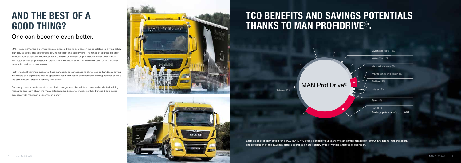

Example of cost distribution for a TGX 18.440 4×2 over a period of four years with an annual mileage of 150,000 km in long-haul transport. The distribution of the TCO may differ depending on the country, type of vehicle and type of operation.

### **TCO BENEFITS AND SAVINGS POTENTIALS THANKS TO MAN PROFIDRIVE® .**

### **AND THE BEST OF A GOOD THING?**

MAN Profi Drive<sup>®</sup> offers a comprehensive range of training courses on topics relating to driving behaviour, driving safety and economical driving for truck and bus drivers. The range of courses on offer includes both advanced theoretical training based on the law on professional driver qualification (BKrFQG) as well as professional, practically orientated training, to make the daily job of the driver even safer and more economical.

Further special training courses for fleet managers, persons responsible for vehicle handover, driving instructors and experts as well as special off-road and heavy-duty transport training courses all have the same object: greater economy with safety.

Company owners, fleet operators and fleet managers can benefit from practically-oriented training measures and learn about the many different possibilities for managing their transport or logistics company with maximum economic efficiency.



### One can become even better.